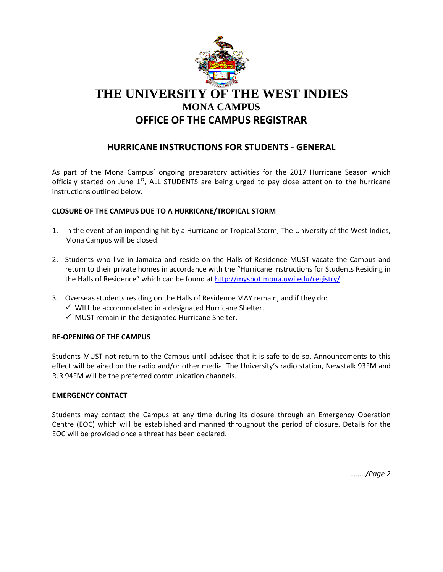

## **HURRICANE INSTRUCTIONS FOR STUDENTS - GENERAL**

As part of the Mona Campus' ongoing preparatory activities for the 2017 Hurricane Season which officialy started on June  $1<sup>st</sup>$ , ALL STUDENTS are being urged to pay close attention to the hurricane instructions outlined below.

## **CLOSURE OF THE CAMPUS DUE TO A HURRICANE/TROPICAL STORM**

- 1. In the event of an impending hit by a Hurricane or Tropical Storm, The University of the West Indies, Mona Campus will be closed.
- 2. Students who live in Jamaica and reside on the Halls of Residence MUST vacate the Campus and return to their private homes in accordance with the "Hurricane Instructions for Students Residing in the Halls of Residence" which can be found at [http://myspot.mona.uwi.edu/registry/.](http://myspot.mona.uwi.edu/registry/)
- 3. Overseas students residing on the Halls of Residence MAY remain, and if they do:
	- $\checkmark$  WILL be accommodated in a designated Hurricane Shelter.
	- $\checkmark$  MUST remain in the designated Hurricane Shelter.

## **RE-OPENING OF THE CAMPUS**

Students MUST not return to the Campus until advised that it is safe to do so. Announcements to this effect will be aired on the radio and/or other media. The University's radio station, Newstalk 93FM and RJR 94FM will be the preferred communication channels.

## **EMERGENCY CONTACT**

Students may contact the Campus at any time during its closure through an Emergency Operation Centre (EOC) which will be established and manned throughout the period of closure. Details for the EOC will be provided once a threat has been declared.

*……../Page 2*